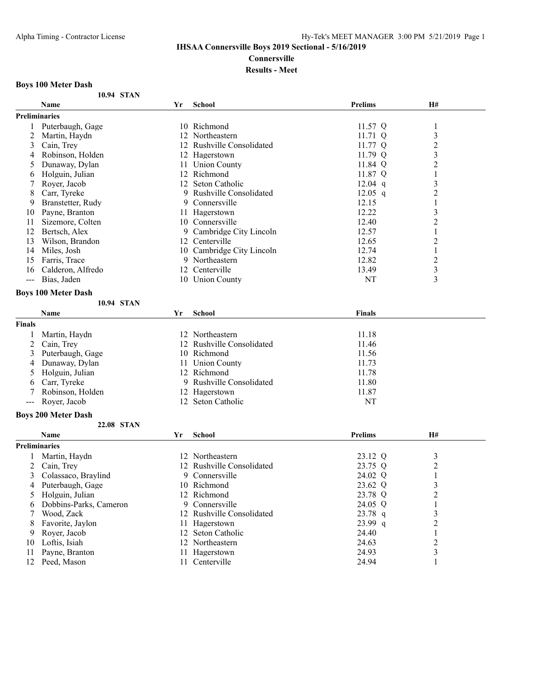# **Connersville**

# **Results - Meet**

# **Boys 100 Meter Dash**

| 10.94 STAN |
|------------|
|            |

|                                                                                                                                                                                                                                                                                                                                                                                              | <b>Name</b>                | Yr | <b>School</b>             | <b>Prelims</b> | H#               |  |
|----------------------------------------------------------------------------------------------------------------------------------------------------------------------------------------------------------------------------------------------------------------------------------------------------------------------------------------------------------------------------------------------|----------------------------|----|---------------------------|----------------|------------------|--|
| <b>Preliminaries</b>                                                                                                                                                                                                                                                                                                                                                                         |                            |    |                           |                |                  |  |
| 1                                                                                                                                                                                                                                                                                                                                                                                            | Puterbaugh, Gage           |    | 10 Richmond               | 11.57 Q        | $\mathbf{1}$     |  |
| 2                                                                                                                                                                                                                                                                                                                                                                                            | Martin, Haydn              |    | 12 Northeastern           | $11.71$ Q      | 3                |  |
| 3                                                                                                                                                                                                                                                                                                                                                                                            | Cain, Trey                 |    | 12 Rushville Consolidated | 11.77 Q        | $\overline{c}$   |  |
| 4                                                                                                                                                                                                                                                                                                                                                                                            | Robinson, Holden           |    | 12 Hagerstown             | 11.79 Q        | 3                |  |
| 5                                                                                                                                                                                                                                                                                                                                                                                            | Dunaway, Dylan             |    | 11 Union County           | 11.84 Q        | $\overline{c}$   |  |
| 6                                                                                                                                                                                                                                                                                                                                                                                            | Holguin, Julian            |    | 12 Richmond               | 11.87 Q        | 1                |  |
| 7                                                                                                                                                                                                                                                                                                                                                                                            | Royer, Jacob               |    | 12 Seton Catholic         | $12.04$ q      | 3                |  |
| 8                                                                                                                                                                                                                                                                                                                                                                                            | Carr, Tyreke               |    | 9 Rushville Consolidated  | $12.05$ q      | $\overline{c}$   |  |
| 9                                                                                                                                                                                                                                                                                                                                                                                            | Branstetter, Rudy          |    | 9 Connersville            | 12.15          | 1                |  |
| 10                                                                                                                                                                                                                                                                                                                                                                                           | Payne, Branton             |    | 11 Hagerstown             | 12.22          | 3                |  |
| 11                                                                                                                                                                                                                                                                                                                                                                                           | Sizemore, Colten           |    | 10 Connersville           | 12.40          | $\overline{c}$   |  |
| 12                                                                                                                                                                                                                                                                                                                                                                                           | Bertsch, Alex              | 9. | Cambridge City Lincoln    | 12.57          | 1                |  |
| 13                                                                                                                                                                                                                                                                                                                                                                                           | Wilson, Brandon            |    | 12 Centerville            | 12.65          | $\overline{c}$   |  |
| 14                                                                                                                                                                                                                                                                                                                                                                                           | Miles, Josh                |    | 10 Cambridge City Lincoln | 12.74          | 1                |  |
| 15                                                                                                                                                                                                                                                                                                                                                                                           | Farris, Trace              |    | 9 Northeastern            | 12.82          | $\overline{c}$   |  |
| 16                                                                                                                                                                                                                                                                                                                                                                                           | Calderon, Alfredo          |    | 12 Centerville            | 13.49          | 3                |  |
| $---$                                                                                                                                                                                                                                                                                                                                                                                        | Bias, Jaden                |    | 10 Union County           | NT             | 3                |  |
|                                                                                                                                                                                                                                                                                                                                                                                              |                            |    |                           |                |                  |  |
|                                                                                                                                                                                                                                                                                                                                                                                              | <b>Boys 100 Meter Dash</b> |    |                           |                |                  |  |
|                                                                                                                                                                                                                                                                                                                                                                                              | 10.94 STAN                 |    |                           |                |                  |  |
|                                                                                                                                                                                                                                                                                                                                                                                              | Name                       | Yr | <b>School</b>             | <b>Finals</b>  |                  |  |
| <b>Finals</b>                                                                                                                                                                                                                                                                                                                                                                                |                            |    |                           |                |                  |  |
| 1                                                                                                                                                                                                                                                                                                                                                                                            | Martin, Haydn              |    | 12 Northeastern           | 11.18          |                  |  |
| 2                                                                                                                                                                                                                                                                                                                                                                                            | Cain, Trey                 |    | 12 Rushville Consolidated | 11.46          |                  |  |
| 3                                                                                                                                                                                                                                                                                                                                                                                            | Puterbaugh, Gage           |    | 10 Richmond               | 11.56          |                  |  |
| 4                                                                                                                                                                                                                                                                                                                                                                                            | Dunaway, Dylan             |    | 11 Union County           | 11.73          |                  |  |
| 5                                                                                                                                                                                                                                                                                                                                                                                            | Holguin, Julian            |    | 12 Richmond               | 11.78          |                  |  |
| 6                                                                                                                                                                                                                                                                                                                                                                                            | Carr, Tyreke               |    | 9 Rushville Consolidated  | 11.80          |                  |  |
| 7                                                                                                                                                                                                                                                                                                                                                                                            | Robinson, Holden           |    | 12 Hagerstown             | 11.87          |                  |  |
| $\frac{1}{2} \frac{1}{2} \frac{1}{2} \frac{1}{2} \frac{1}{2} \frac{1}{2} \frac{1}{2} \frac{1}{2} \frac{1}{2} \frac{1}{2} \frac{1}{2} \frac{1}{2} \frac{1}{2} \frac{1}{2} \frac{1}{2} \frac{1}{2} \frac{1}{2} \frac{1}{2} \frac{1}{2} \frac{1}{2} \frac{1}{2} \frac{1}{2} \frac{1}{2} \frac{1}{2} \frac{1}{2} \frac{1}{2} \frac{1}{2} \frac{1}{2} \frac{1}{2} \frac{1}{2} \frac{1}{2} \frac{$ | Royer, Jacob               | 12 | Seton Catholic            | NT             |                  |  |
|                                                                                                                                                                                                                                                                                                                                                                                              | <b>Boys 200 Meter Dash</b> |    |                           |                |                  |  |
|                                                                                                                                                                                                                                                                                                                                                                                              | 22.08 STAN                 |    |                           |                |                  |  |
|                                                                                                                                                                                                                                                                                                                                                                                              | Name                       | Yr | School                    | <b>Prelims</b> | H#               |  |
| <b>Preliminaries</b>                                                                                                                                                                                                                                                                                                                                                                         |                            |    |                           |                |                  |  |
|                                                                                                                                                                                                                                                                                                                                                                                              |                            |    |                           |                |                  |  |
| 1                                                                                                                                                                                                                                                                                                                                                                                            | Martin, Haydn              |    | 12 Northeastern           | 23.12 Q        | 3                |  |
| 2                                                                                                                                                                                                                                                                                                                                                                                            | Cain, Trey                 |    | 12 Rushville Consolidated | 23.75 Q        | $\boldsymbol{2}$ |  |
| 3                                                                                                                                                                                                                                                                                                                                                                                            | Colassaco, Braylind        | 9  | Connersville              | 24.02 Q        | 1                |  |
| 4                                                                                                                                                                                                                                                                                                                                                                                            | Puterbaugh, Gage           |    | 10 Richmond               | 23.62 Q        | 3                |  |
| 5                                                                                                                                                                                                                                                                                                                                                                                            | Holguin, Julian            |    | 12 Richmond               | 23.78 Q        | 2                |  |
| 6                                                                                                                                                                                                                                                                                                                                                                                            | Dobbins-Parks, Cameron     | 9  | Connersville              | 24.05 Q        |                  |  |
| 7                                                                                                                                                                                                                                                                                                                                                                                            | Wood, Zack                 |    | 12 Rushville Consolidated | 23.78 q        | 3                |  |
| 8                                                                                                                                                                                                                                                                                                                                                                                            | Favorite, Jaylon           |    | 11 Hagerstown             | 23.99 q        | $\overline{c}$   |  |
| 9                                                                                                                                                                                                                                                                                                                                                                                            | Royer, Jacob               | 12 | Seton Catholic            | 24.40          | 1                |  |
| 10                                                                                                                                                                                                                                                                                                                                                                                           | Loftis, Isiah              |    | 12 Northeastern           | 24.63          | $\overline{c}$   |  |
| 11                                                                                                                                                                                                                                                                                                                                                                                           | Payne, Branton             |    | 11 Hagerstown             | 24.93          | 3                |  |
|                                                                                                                                                                                                                                                                                                                                                                                              | 12 Peed, Mason             |    | 11 Centerville            | 24.94          |                  |  |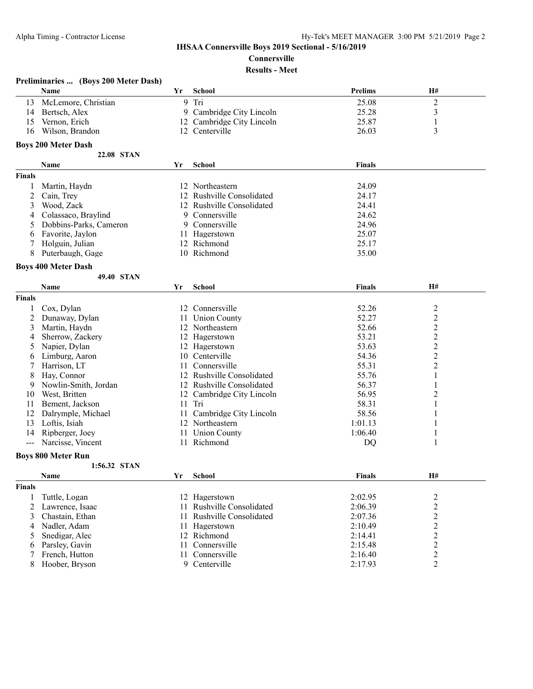# **Connersville**

# **Results - Meet**

|               | Preliminaries  (Boys 200 Meter Dash) |    |                               |                |                                  |  |
|---------------|--------------------------------------|----|-------------------------------|----------------|----------------------------------|--|
|               | Name                                 | Yr | <b>School</b>                 | <b>Prelims</b> | H#                               |  |
| 13            | McLemore, Christian                  | 9  | Tri                           | 25.08          | $\sqrt{2}$                       |  |
| 14            | Bertsch, Alex                        | 9  | Cambridge City Lincoln        | 25.28          | 3                                |  |
| 15            | Vernon, Erich                        | 12 | Cambridge City Lincoln        | 25.87          | $\mathbf{1}$                     |  |
| 16            | Wilson, Brandon                      |    | 12 Centerville                | 26.03          | 3                                |  |
|               | <b>Boys 200 Meter Dash</b>           |    |                               |                |                                  |  |
|               | 22.08 STAN                           |    |                               |                |                                  |  |
|               | Name                                 | Yr | <b>School</b>                 | Finals         |                                  |  |
|               |                                      |    |                               |                |                                  |  |
| <b>Finals</b> |                                      |    |                               |                |                                  |  |
|               | Martin, Haydn                        |    | 12 Northeastern               | 24.09          |                                  |  |
| 2             | Cain, Trey                           | 12 | Rushville Consolidated        | 24.17          |                                  |  |
| 3             | Wood, Zack                           | 12 | Rushville Consolidated        | 24.41          |                                  |  |
| 4             | Colassaco, Braylind                  | 9  | Connersville                  | 24.62          |                                  |  |
| 5             | Dobbins-Parks, Cameron               | 9  | Connersville                  | 24.96          |                                  |  |
| 6             | Favorite, Jaylon                     |    | 11 Hagerstown                 | 25.07          |                                  |  |
|               | Holguin, Julian                      |    | 12 Richmond                   | 25.17          |                                  |  |
| 8             | Puterbaugh, Gage                     |    | 10 Richmond                   | 35.00          |                                  |  |
|               | <b>Boys 400 Meter Dash</b>           |    |                               |                |                                  |  |
|               | 49.40 STAN                           |    |                               |                |                                  |  |
|               | Name                                 | Yr | <b>School</b>                 | Finals         | <b>H#</b>                        |  |
| <b>Finals</b> |                                      |    |                               |                |                                  |  |
|               | Cox, Dylan                           |    | 12 Connersville               | 52.26          | $\overline{c}$                   |  |
| 2             | Dunaway, Dylan                       |    | 11 Union County               | 52.27          | $\overline{c}$                   |  |
| 3             | Martin, Haydn                        |    | 12 Northeastern               | 52.66          | $\overline{c}$                   |  |
| 4             | Sherrow, Zackery                     |    | 12 Hagerstown                 | 53.21          | $\overline{c}$                   |  |
| 5             | Napier, Dylan                        |    | 12 Hagerstown                 | 53.63          | $\overline{\mathbf{c}}$          |  |
| 6             | Limburg, Aaron                       | 10 | Centerville                   | 54.36          | $\overline{c}$                   |  |
| 7             | Harrison, LT                         | 11 | Connersville                  | 55.31          | $\overline{2}$                   |  |
| 8             | Hay, Connor                          |    | 12 Rushville Consolidated     | 55.76          | 1                                |  |
| 9             | Nowlin-Smith, Jordan                 | 12 | Rushville Consolidated        | 56.37          | 1                                |  |
| 10            | West, Britten                        |    | 12 Cambridge City Lincoln     | 56.95          | $\overline{2}$                   |  |
| 11            | Bement, Jackson                      | 11 | Tri                           | 58.31          | 1                                |  |
| 12            | Dalrymple, Michael                   | 11 | Cambridge City Lincoln        | 58.56          | 1                                |  |
| 13            | Loftis, Isiah                        |    | 12 Northeastern               | 1:01.13        |                                  |  |
| 14            | Ripberger, Joey                      |    | 11 Union County               | 1:06.40        | 1                                |  |
| $---$         | Narcisse, Vincent                    |    | 11 Richmond                   | DQ             | 1                                |  |
|               | <b>Boys 800 Meter Run</b>            |    |                               |                |                                  |  |
|               | 1:56.32 STAN                         |    |                               |                |                                  |  |
|               | Name                                 | Yr | <b>School</b>                 | <b>Finals</b>  | H#                               |  |
|               |                                      |    |                               |                |                                  |  |
| <b>Finals</b> |                                      |    |                               |                |                                  |  |
| 1             | Tuttle, Logan                        |    | 12 Hagerstown                 | 2:02.95        | $\overline{c}$                   |  |
| 2             | Lawrence, Isaac                      |    | 11 Rushville Consolidated     | 2:06.39        | $\overline{2}$                   |  |
| 3             | Chastain, Ethan                      | 11 | Rushville Consolidated        | 2:07.36        | $\overline{c}$                   |  |
| 4             | Nadler, Adam                         | 11 | Hagerstown                    | 2:10.49        | $\boldsymbol{2}$                 |  |
| 5             | Snedigar, Alec                       |    | 12 Richmond<br>Connersville   | 2:14.41        | $\boldsymbol{2}$                 |  |
| 6             | Parsley, Gavin                       | 11 |                               | 2:15.48        | $\overline{c}$                   |  |
| 7             | French, Hutton                       | 11 | Connersville<br>9 Centerville | 2:16.40        | $\overline{c}$<br>$\overline{2}$ |  |
| 8             | Hoober, Bryson                       |    |                               | 2:17.93        |                                  |  |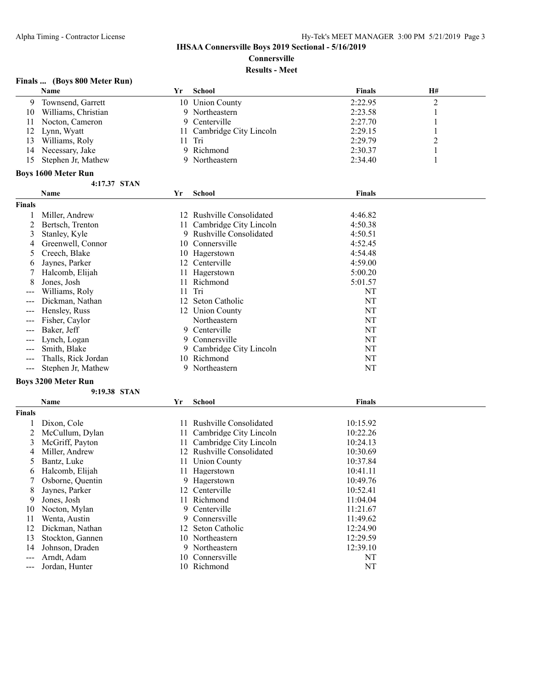**Connersville**

**Results - Meet**

## **Finals ... (Boys 800 Meter Run)**

|     | <b>Name</b>         | Yr | School                    | <b>Finals</b> | <b>H#</b> |  |
|-----|---------------------|----|---------------------------|---------------|-----------|--|
| 9   | Townsend, Garrett   |    | 10 Union County           | 2:22.95       |           |  |
| 10  | Williams, Christian |    | 9 Northeastern            | 2:23.58       |           |  |
|     | Nocton, Cameron     |    | 9 Centerville             | 2:27.70       |           |  |
|     | 12 Lynn, Wyatt      |    | 11 Cambridge City Lincoln | 2:29.15       |           |  |
| 13  | Williams, Roly      |    | 11 Tri                    | 2:29.79       |           |  |
| 14  | Necessary, Jake     |    | 9 Richmond                | 2:30.37       |           |  |
| 15. | Stephen Jr, Mathew  |    | 9 Northeastern            | 2:34.40       |           |  |
|     | Bovs 1600 Meter Run |    |                           |               |           |  |

#### **4:17.37 STAN**

|                   | $4:1/0.3/0.51$ AN          |    |                           |               |  |
|-------------------|----------------------------|----|---------------------------|---------------|--|
|                   | Name                       | Yr | <b>School</b>             | <b>Finals</b> |  |
| <b>Finals</b>     |                            |    |                           |               |  |
|                   | Miller, Andrew             |    | 12 Rushville Consolidated | 4:46.82       |  |
|                   | Bertsch, Trenton           |    | 11 Cambridge City Lincoln | 4:50.38       |  |
| 3                 | Stanley, Kyle              |    | 9 Rushville Consolidated  | 4:50.51       |  |
| 4                 | Greenwell, Connor          | 10 | Connersville              | 4:52.45       |  |
| 5.                | Creech, Blake              |    | 10 Hagerstown             | 4:54.48       |  |
| 6                 | Jaynes, Parker             |    | 12 Centerville            | 4:59.00       |  |
|                   | Halcomb, Elijah            |    | 11 Hagerstown             | 5:00.20       |  |
| 8                 | Jones, Josh                | 11 | Richmond                  | 5:01.57       |  |
| ---               | Williams, Roly             | 11 | Tri                       | NT            |  |
| $\qquad \qquad -$ | Dickman, Nathan            | 12 | Seton Catholic            | NT            |  |
| $\qquad \qquad -$ | Hensley, Russ              |    | 12 Union County           | NT            |  |
| $---$             | Fisher, Caylor             |    | Northeastern              | NT            |  |
| $---$             | Baker, Jeff                | 9. | Centerville               | NT            |  |
| $\frac{1}{2}$     | Lynch, Logan               | 9. | Connersville              | NT            |  |
| $---$             | Smith, Blake               | 9. | Cambridge City Lincoln    | NT            |  |
| $---$             | Thalls, Rick Jordan        |    | 10 Richmond               | NT            |  |
| $---$             | Stephen Jr, Mathew         |    | 9 Northeastern            | NT            |  |
|                   | <b>Boys 3200 Meter Run</b> |    |                           |               |  |

|               | <b>Boys 3200 Meter Run</b> |     |                        |               |  |  |
|---------------|----------------------------|-----|------------------------|---------------|--|--|
|               | 9:19.38 STAN               |     |                        |               |  |  |
|               | <b>Name</b>                | Yr  | School                 | <b>Finals</b> |  |  |
| <b>Finals</b> |                            |     |                        |               |  |  |
|               | Dixon, Cole                | 11  | Rushville Consolidated | 10:15.92      |  |  |
|               | McCullum, Dylan            | 11. | Cambridge City Lincoln | 10:22.26      |  |  |
| 3             | McGriff, Payton            | 11  | Cambridge City Lincoln | 10:24.13      |  |  |
| 4             | Miller, Andrew             | 12. | Rushville Consolidated | 10:30.69      |  |  |
| 5.            | Bantz, Luke                | 11- | <b>Union County</b>    | 10:37.84      |  |  |
| 6             | Halcomb, Elijah            | 11. | Hagerstown             | 10:41.11      |  |  |
|               | Osborne, Quentin           | 9   | Hagerstown             | 10:49.76      |  |  |
| 8             | Jaynes, Parker             | 12. | Centerville            | 10:52.41      |  |  |
| 9             | Jones, Josh                | 11  | Richmond               | 11:04.04      |  |  |
| 10            | Nocton, Mylan              | 9   | Centerville            | 11:21.67      |  |  |
|               | Wenta, Austin              |     | 9 Connersville         | 11:49.62      |  |  |
| 12            | Dickman, Nathan            |     | 12 Seton Catholic      | 12:24.90      |  |  |
| 13            | Stockton, Gannen           |     | 10 Northeastern        | 12:29.59      |  |  |
| 14            | Johnson, Draden            | 9   | Northeastern           | 12:39.10      |  |  |
| ---           | Arndt, Adam                | 10  | Connersville           | NT            |  |  |
| ---           | Jordan, Hunter             | 10  | Richmond               | NT            |  |  |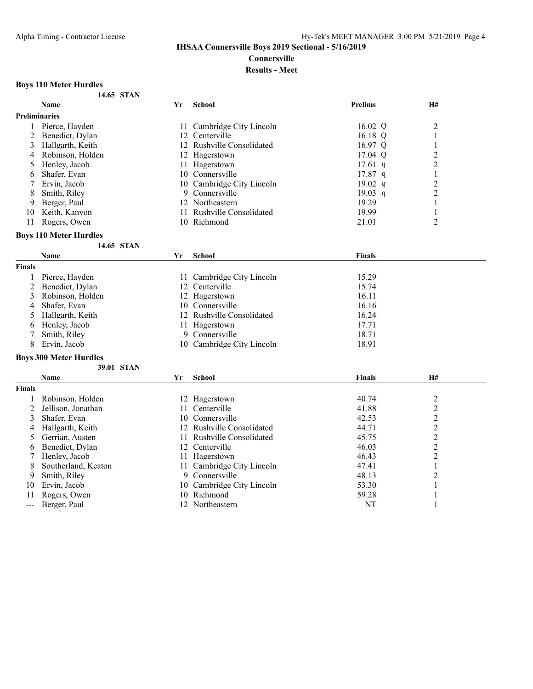**Connersville**

## **Results - Meet**

### **Boys 110 Meter Hurdles**

|  | 14.65 STAN |
|--|------------|
|  |            |

|                      | <b>Name</b>                   | Yr  | <b>School</b>             | <b>Prelims</b> | <b>H#</b>      |  |
|----------------------|-------------------------------|-----|---------------------------|----------------|----------------|--|
| <b>Preliminaries</b> |                               |     |                           |                |                |  |
|                      | Pierce, Hayden                | 11. | Cambridge City Lincoln    | 16.02 Q        | $\overline{2}$ |  |
|                      | Benedict, Dylan               | 12  | Centerville               | 16.18 Q        |                |  |
| 3                    | Hallgarth, Keith              | 12  | Rushville Consolidated    | 16.97 Q        |                |  |
| 4                    | Robinson, Holden              | 12  | Hagerstown                | 17.04 Q        | $\overline{c}$ |  |
|                      | Henley, Jacob                 |     | Hagerstown                | $17.61$ q      | 2              |  |
| b                    | Shafer, Evan                  | 10  | Connersville              | $17.87$ q      |                |  |
|                      | Ervin, Jacob                  | 10  | Cambridge City Lincoln    | 19.02 q        | $\overline{c}$ |  |
| 8                    | Smith, Riley                  | 9   | Connersville              | $19.03$ q      | $\overline{c}$ |  |
| 9                    | Berger, Paul                  | 12  | Northeastern              | 19.29          |                |  |
| 10                   | Keith, Kanyon                 |     | Rushville Consolidated    | 19.99          |                |  |
| 11                   | Rogers, Owen                  | 10  | Richmond                  | 21.01          | $\overline{2}$ |  |
|                      | <b>Boys 110 Meter Hurdles</b> |     |                           |                |                |  |
|                      | 14.65 STAN                    |     |                           |                |                |  |
|                      | <b>Name</b>                   | Yr  | <b>School</b>             | <b>Finals</b>  |                |  |
| <b>Finals</b>        |                               |     |                           |                |                |  |
|                      | Pierce, Hayden                | 11  | Cambridge City Lincoln    | 15.29          |                |  |
|                      | Benedict, Dylan               | 12  | Centerville               | 15.74          |                |  |
| 3                    | Robinson, Holden              | 12  | Hagerstown                | 16.11          |                |  |
| 4                    | Shafer, Evan                  | 10  | Connersville              | 16.16          |                |  |
|                      | Hallgarth, Keith              | 12  | Rushville Consolidated    | 16.24          |                |  |
| 6                    | Henley, Jacob                 |     | Hagerstown                | 17.71          |                |  |
|                      | Smith, Riley                  | 9   | Connersville              | 18.71          |                |  |
| 8                    | Ervin, Jacob                  |     | 10 Cambridge City Lincoln | 18.91          |                |  |

## 8 Ervin, Jacob 10 Cambridge City Lincoln

## **Boys 300 Meter Hurdles**

**39.01 STAN**

|                      | Name                | Yr | <b>School</b>             | <b>Finals</b> | H# |  |
|----------------------|---------------------|----|---------------------------|---------------|----|--|
| <b>Finals</b>        |                     |    |                           |               |    |  |
|                      | Robinson, Holden    |    | 12 Hagerstown             | 40.74         |    |  |
|                      | Jellison, Jonathan  |    | 11 Centerville            | 41.88         |    |  |
| 3                    | Shafer, Evan        |    | 10 Connersville           | 42.53         |    |  |
| 4                    | Hallgarth, Keith    |    | 12 Rushville Consolidated | 44.71         |    |  |
|                      | Gerrian, Austen     |    | 11 Rushville Consolidated | 45.75         |    |  |
|                      | Benedict, Dylan     |    | 12 Centerville            | 46.03         |    |  |
|                      | Henley, Jacob       |    | Hagerstown                | 46.43         |    |  |
| 8.                   | Southerland, Keaton |    | 11 Cambridge City Lincoln | 47.41         |    |  |
| 9                    | Smith, Rilev        | 9. | Connersville              | 48.13         |    |  |
| 10                   | Ervin, Jacob        |    | 10 Cambridge City Lincoln | 53.30         |    |  |
| 11                   | Rogers, Owen        |    | 10 Richmond               | 59.28         |    |  |
| $\sim$ $\sim$ $\sim$ | Berger, Paul        |    | 12 Northeastern           | NT            |    |  |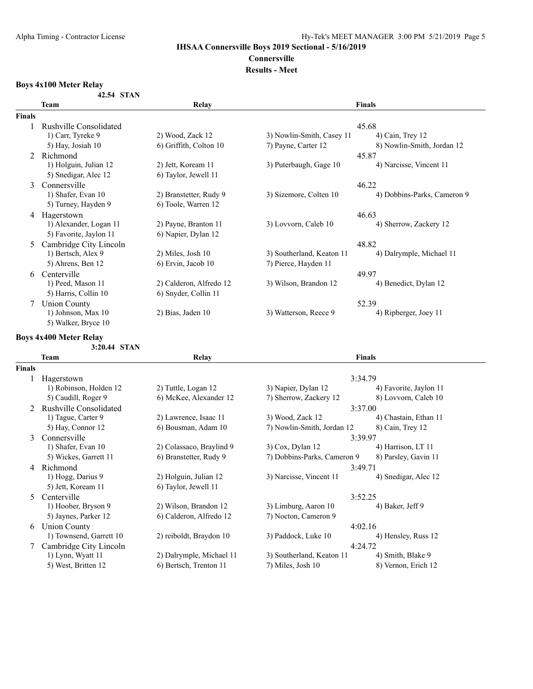# **Connersville**

## **Results - Meet**

# **Boys 4x100 Meter Relay**

| 42.54 STAN |  |
|------------|--|
|            |  |

|               | Team                   | Relay                   |                           | <b>Finals</b>               |
|---------------|------------------------|-------------------------|---------------------------|-----------------------------|
| <b>Finals</b> |                        |                         |                           |                             |
|               | Rushville Consolidated |                         |                           | 45.68                       |
|               | 1) Carr, Tyreke 9      | 2) Wood, Zack 12        | 3) Nowlin-Smith, Casey 11 | $(4)$ Cain, Trey 12         |
|               | 5) Hay, Josiah 10      | 6) Griffith, Colton 10  | 7) Payne, Carter 12       | 8) Nowlin-Smith, Jordan 12  |
|               | Richmond               |                         |                           | 45.87                       |
|               | 1) Holguin, Julian 12  | 2) Jett, Koream 11      | 3) Puterbaugh, Gage 10    | 4) Narcisse, Vincent 11     |
|               | 5) Snedigar, Alec 12   | 6) Taylor, Jewell 11    |                           |                             |
| 3             | Connersville           |                         |                           | 46.22                       |
|               | 1) Shafer, Evan 10     | 2) Branstetter, Rudy 9  | 3) Sizemore, Colten 10    | 4) Dobbins-Parks, Cameron 9 |
|               | 5) Turney, Hayden 9    | 6) Toole, Warren 12     |                           |                             |
| 4             | Hagerstown             |                         |                           | 46.63                       |
|               | 1) Alexander, Logan 11 | 2) Payne, Branton 11    | 3) Lovvorn, Caleb 10      | 4) Sherrow, Zackery 12      |
|               | 5) Favorite, Jaylon 11 | 6) Napier, Dylan 12     |                           |                             |
| 5             | Cambridge City Lincoln |                         |                           | 48.82                       |
|               | 1) Bertsch, Alex 9     | $2)$ Miles, Josh 10     | 3) Southerland, Keaton 11 | 4) Dalrymple, Michael 11    |
|               | 5) Ahrens, Ben 12      | 6) Ervin, Jacob 10      | 7) Pierce, Hayden 11      |                             |
| 6             | Centerville            |                         |                           | 49.97                       |
|               | 1) Peed, Mason 11      | 2) Calderon, Alfredo 12 | 3) Wilson, Brandon 12     | 4) Benedict, Dylan 12       |
|               | 5) Harris, Collin 10   | 6) Snyder, Collin 11    |                           |                             |
|               | Union County           |                         |                           | 52.39                       |
|               | 1) Johnson, Max 10     | 2) Bias, Jaden 10       | 3) Watterson, Reece 9     | 4) Ripberger, Joey 11       |
|               | 5) Walker, Bryce 10    |                         |                           |                             |

# **Boys 4x400 Meter Relay**

**3:20.44 STAN**

|               | <b>Team</b>             | <b>Relay</b>             | <b>Finals</b>               |                        |  |
|---------------|-------------------------|--------------------------|-----------------------------|------------------------|--|
| <b>Finals</b> |                         |                          |                             |                        |  |
|               | Hagerstown              |                          | 3:34.79                     |                        |  |
|               | 1) Robinson, Holden 12  | 2) Tuttle, Logan 12      | 3) Napier, Dylan 12         | 4) Favorite, Jaylon 11 |  |
|               | 5) Caudill, Roger 9     | 6) McKee, Alexander 12   | 7) Sherrow, Zackery 12      | 8) Lovvorn, Caleb 10   |  |
| $2^{1}$       | Rushville Consolidated  |                          | 3:37.00                     |                        |  |
|               | 1) Tague, Carter 9      | 2) Lawrence, Isaac 11    | 3) Wood, Zack 12            | 4) Chastain, Ethan 11  |  |
|               | 5) Hay, Connor 12       | 6) Bousman, Adam 10      | 7) Nowlin-Smith, Jordan 12  | 8) Cain, Trey 12       |  |
| 3             | Connersville            |                          | 3:39.97                     |                        |  |
|               | 1) Shafer, Evan 10      | 2) Colassaco, Braylind 9 | $3)$ Cox, Dylan 12          | 4) Harrison, LT 11     |  |
|               | 5) Wickes, Garrett 11   | 6) Branstetter, Rudy 9   | 7) Dobbins-Parks, Cameron 9 | 8) Parsley, Gavin 11   |  |
| 4             | Richmond                |                          | 3:49.71                     |                        |  |
|               | 1) Hogg, Darius 9       | 2) Holguin, Julian 12    | 3) Narcisse, Vincent 11     | 4) Snedigar, Alec 12   |  |
|               | 5) Jett, Koream 11      | 6) Taylor, Jewell 11     |                             |                        |  |
| 5.            | Centerville             |                          | 3:52.25                     |                        |  |
|               | 1) Hoober, Bryson 9     | 2) Wilson, Brandon 12    | 3) Limburg, Aaron 10        | 4) Baker, Jeff 9       |  |
|               | 5) Jaynes, Parker 12    | 6) Calderon, Alfredo 12  | 7) Nocton, Cameron 9        |                        |  |
| 6             | <b>Union County</b>     |                          | 4:02.16                     |                        |  |
|               | 1) Townsend, Garrett 10 | 2) reiboldt, Braydon 10  | 3) Paddock, Luke 10         | 4) Hensley, Russ 12    |  |
|               | Cambridge City Lincoln  |                          | 4:24.72                     |                        |  |
|               | 1) Lynn, Wyatt 11       | 2) Dalrymple, Michael 11 | 3) Southerland, Keaton 11   | 4) Smith, Blake 9      |  |
|               | 5) West, Britten 12     | 6) Bertsch, Trenton 11   | 7) Miles, Josh 10           | 8) Vernon, Erich 12    |  |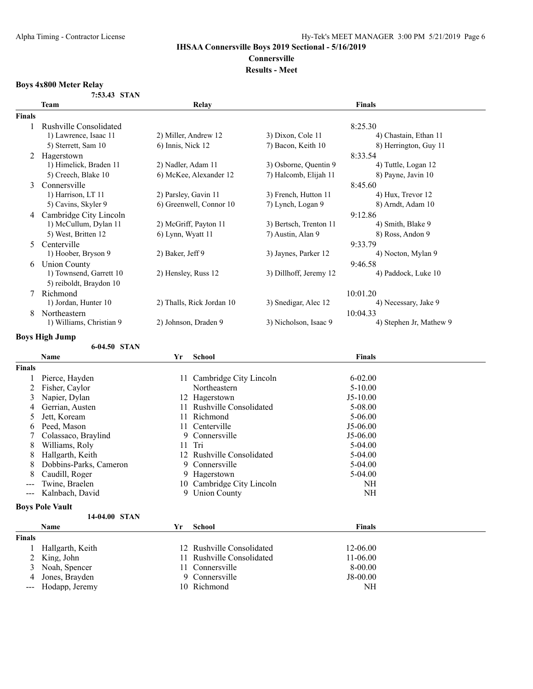# **Connersville**

#### **Results - Meet**

#### **Boys 4x800 Meter Relay**

| 7:53.43 STAN |  |
|--------------|--|
|              |  |

|                 | <b>Team</b>              | Relay                     |                        | Finals                  |  |  |
|-----------------|--------------------------|---------------------------|------------------------|-------------------------|--|--|
| Finals          |                          |                           |                        |                         |  |  |
|                 | Rushville Consolidated   |                           |                        | 8:25.30                 |  |  |
|                 | 1) Lawrence, Isaac 11    | 2) Miller, Andrew 12      | 3) Dixon, Cole 11      | 4) Chastain, Ethan 11   |  |  |
|                 | 5) Sterrett, Sam 10      | 6) Innis, Nick 12         | 7) Bacon, Keith 10     | 8) Herrington, Guy 11   |  |  |
| 2<br>Hagerstown |                          |                           |                        | 8:33.54                 |  |  |
|                 | 1) Himelick, Braden 11   | 2) Nadler, Adam 11        | 3) Osborne, Quentin 9  | 4) Tuttle, Logan 12     |  |  |
|                 | 5) Creech, Blake 10      | 6) McKee, Alexander 12    | 7) Halcomb, Elijah 11  | 8) Payne, Javin 10      |  |  |
| 3               | Connersville             |                           |                        | 8:45.60                 |  |  |
|                 | 1) Harrison, LT 11       | 2) Parsley, Gavin 11      | 3) French, Hutton 11   | 4) Hux, Trevor 12       |  |  |
|                 | 5) Cavins, Skyler 9      | 6) Greenwell, Connor 10   | 7) Lynch, Logan 9      | 8) Arndt, Adam 10       |  |  |
| 4               | Cambridge City Lincoln   |                           |                        | 9:12.86                 |  |  |
|                 | 1) McCullum, Dylan 11    | 2) McGriff, Payton 11     | 3) Bertsch, Trenton 11 | 4) Smith, Blake 9       |  |  |
|                 | 5) West, Britten 12      | 6) Lynn, Wyatt 11         | 7) Austin, Alan 9      | 8) Ross, Andon 9        |  |  |
| 5               | Centerville              |                           |                        | 9:33.79                 |  |  |
|                 | 1) Hoober, Bryson 9      | 2) Baker, Jeff 9          | 3) Jaynes, Parker 12   | 4) Nocton, Mylan 9      |  |  |
| 6               | <b>Union County</b>      |                           |                        | 9:46.58                 |  |  |
|                 | 1) Townsend, Garrett 10  | 2) Hensley, Russ 12       | 3) Dillhoff, Jeremy 12 | 4) Paddock, Luke 10     |  |  |
|                 | 5) reiboldt, Braydon 10  |                           |                        |                         |  |  |
|                 | Richmond                 |                           |                        | 10:01.20                |  |  |
|                 | 1) Jordan, Hunter 10     | 2) Thalls, Rick Jordan 10 | 3) Snedigar, Alec 12   | 4) Necessary, Jake 9    |  |  |
| 8               | Northeastern             |                           |                        | 10:04.33                |  |  |
|                 | 1) Williams, Christian 9 | 2) Johnson, Draden 9      | 3) Nicholson, Isaac 9  | 4) Stephen Jr, Mathew 9 |  |  |

#### **Boys High Jump**

**6-04.50 STAN**

**Name Yr School Finals Finals** 1 Pierce, Hayden 11 Cambridge City Lincoln 6-02.00 2 Fisher, Caylor Northeastern 5-10.00 3 Napier, Dylan 12 Hagerstown J5-10.00<br>4 Gerrian, Austen 11 Rushville Consolidated 5-08.00 11 Rushville Consolidated<br>11 Richmond 5 Jett, Koream 11 Richmond 5-06.00<br>6 Peed, Mason 11 Centerville 5-06.00 6 Peed, Mason 11 Centerville J5-06.00<br>
7 Colassaco, Braylind 9 Connersville J5-06.00 7 Colassaco, Braylind 9 Corners 9 Optics 9 Corners 9 Optics 9 Optics 9 Optics 9 Optics 9 Optics 9 Optics 9 Optics 9 Optics 9 Optics 9 Optics 9 Optics 9 Optics 9 Optics 9 Optics 9 Optics 9 Optics 9 Optics 9 Optics 9 Optics 8 Williams, Roly 11 Tri 5-04.00 8 Hallgarth, Keith 12 Rushville Consolidated 5-04.00<br>8 Dobbins-Parks, Cameron 9 Connersville 5-04.00 8 Dobbins-Parks, Cameron 8 Caudill, Roger 9 Hagerstown 5-04.00<br>
-- Twine, Braelen 10 Cambridge City Lincoln 5-04.00 --- Twine, Braelen 10 Cambridge City Lincoln NH<br>--- Kalnbach, David 9 Union County NH --- Kalnbach, David

#### **Boys Pole Vault**

|               | 14-04.00 STAN      |    |                           |               |
|---------------|--------------------|----|---------------------------|---------------|
|               | <b>Name</b>        | Yr | School                    | <b>Finals</b> |
| <b>Finals</b> |                    |    |                           |               |
|               | Hallgarth, Keith   |    | 12 Rushville Consolidated | 12-06.00      |
|               | 2 King, John       |    | 11 Rushville Consolidated | $11-06.00$    |
|               | 3 Noah, Spencer    |    | 11 Connersville           | $8-00.00$     |
|               | 4 Jones, Brayden   |    | 9 Connersville            | $J8-00.00$    |
|               | --- Hodapp, Jeremy |    | 10 Richmond               | NH            |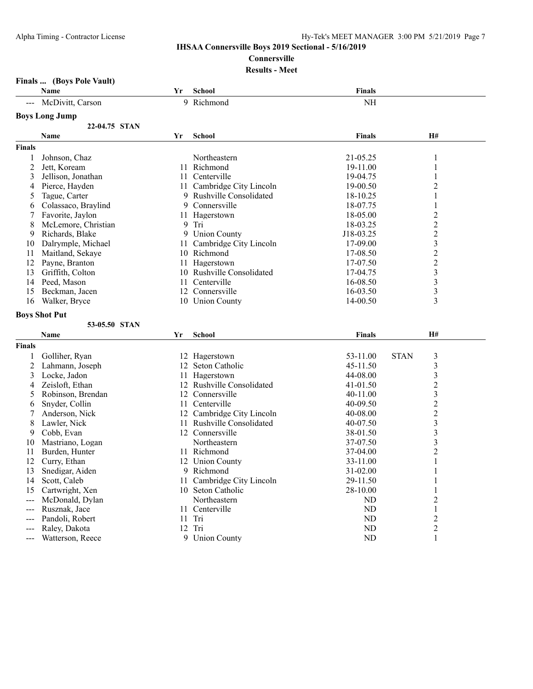### Alpha Timing - Contractor License Hy-Tek's MEET MANAGER 3:00 PM 5/21/2019 Page 7

### **IHSAA Connersville Boys 2019 Sectional - 5/16/2019**

**Connersville**

## **Results - Meet**

**Finals ... (Boys Pole Vault)**

| 9 Richmond<br>McDivitt, Carson<br><b>Boys Long Jump</b>        | <b>Finals</b>                                                   |
|----------------------------------------------------------------|-----------------------------------------------------------------|
|                                                                | NH                                                              |
|                                                                |                                                                 |
| 22-04.75 STAN                                                  |                                                                 |
| Name<br>Yr<br>School                                           | <b>Finals</b><br>H#                                             |
| <b>Finals</b>                                                  |                                                                 |
| Johnson, Chaz<br>Northeastern<br>1                             | 21-05.25<br>1                                                   |
| $\overline{c}$<br>Jett, Koream<br>11 Richmond                  | 19-11.00<br>1                                                   |
| 3<br>11 Centerville<br>Jellison, Jonathan                      | 19-04.75<br>1                                                   |
| Pierce, Hayden<br>11 Cambridge City Lincoln<br>4               | 2<br>19-00.50                                                   |
| Tague, Carter<br>9<br>Rushville Consolidated<br>5              | 18-10.25<br>1                                                   |
| Colassaco, Braylind<br>9<br>Connersville<br>6                  | 18-07.75<br>$\mathbf{1}$                                        |
| Favorite, Jaylon<br>11 Hagerstown<br>7                         | $\overline{2}$<br>18-05.00                                      |
| McLemore, Christian<br>9 Tri<br>8                              | 2<br>18-03.25                                                   |
| 9<br><b>Union County</b><br>9<br>Richards, Blake               | $\overline{c}$<br>J18-03.25                                     |
| Dalrymple, Michael<br>Cambridge City Lincoln<br>10<br>11       | 3<br>17-09.00                                                   |
| Maitland, Sekaye<br>10 Richmond<br>11                          | $\overline{c}$<br>17-08.50                                      |
| 12<br>Payne, Branton<br>11 Hagerstown                          | $\overline{c}$<br>17-07.50                                      |
| Griffith, Colton<br>13<br>10 Rushville Consolidated            | $\overline{\mathbf{3}}$<br>17-04.75                             |
| Centerville<br>14<br>Peed, Mason<br>11                         | 3<br>16-08.50                                                   |
| 15<br>Beckman, Jacen<br>12 Connersville                        | 3<br>16-03.50                                                   |
| 10 Union County<br>16<br>Walker, Bryce                         | 3<br>14-00.50                                                   |
| <b>Boys Shot Put</b>                                           |                                                                 |
| 53-05.50 STAN                                                  |                                                                 |
| <b>School</b><br>Name<br>Yr                                    | <b>H#</b><br><b>Finals</b>                                      |
| <b>Finals</b>                                                  |                                                                 |
| Golliher, Ryan<br>1<br>12 Hagerstown                           | 53-11.00<br><b>STAN</b><br>3                                    |
| 2<br>Lahmann, Joseph<br>12<br>Seton Catholic                   | 3<br>45-11.50                                                   |
| Locke, Jadon<br>3<br>11 Hagerstown                             | 3<br>44-08.00                                                   |
| Zeisloft, Ethan<br>12 Rushville Consolidated<br>4              | $\overline{2}$<br>41-01.50                                      |
| Robinson, Brendan<br>12 Connersville<br>5                      | 3<br>40-11.00                                                   |
| Snyder, Collin<br>11 Centerville<br>6                          | $\overline{2}$<br>40-09.50                                      |
| Anderson, Nick<br>12 Cambridge City Lincoln<br>7               | $\overline{c}$<br>40-08.00                                      |
| 11 Rushville Consolidated<br>8<br>Lawler, Nick                 | 3<br>40-07.50                                                   |
| Cobb, Evan<br>12 Connersville<br>9                             | $\overline{\mathbf{3}}$<br>38-01.50                             |
| Mastriano, Logan<br>Northeastern<br>10                         | 3<br>37-07.50                                                   |
| Burden, Hunter<br>11 Richmond<br>11                            | $\overline{c}$<br>37-04.00                                      |
| 12<br>Curry, Ethan<br>12 Union County                          | 33-11.00<br>1                                                   |
|                                                                | 31-02.00<br>1                                                   |
|                                                                | 1                                                               |
| 13<br>Snedigar, Aiden<br>9 Richmond                            |                                                                 |
| Cambridge City Lincoln<br>Scott, Caleb<br>29-11.50<br>14<br>11 |                                                                 |
| Cartwright, Xen<br>10 Seton Catholic<br>15                     | 28-10.00<br>1                                                   |
| McDonald, Dylan<br>Northeastern<br>---                         | $\overline{c}$<br>ND                                            |
| 11 Centerville<br>Rusznak, Jace<br>---                         | <b>ND</b><br>$\mathbf{1}$                                       |
| Pandoli, Robert<br>Tri<br>11<br>12 Tri<br>Raley, Dakota<br>--- | $\overline{c}$<br><b>ND</b><br>$\overline{2}$<br>N <sub>D</sub> |